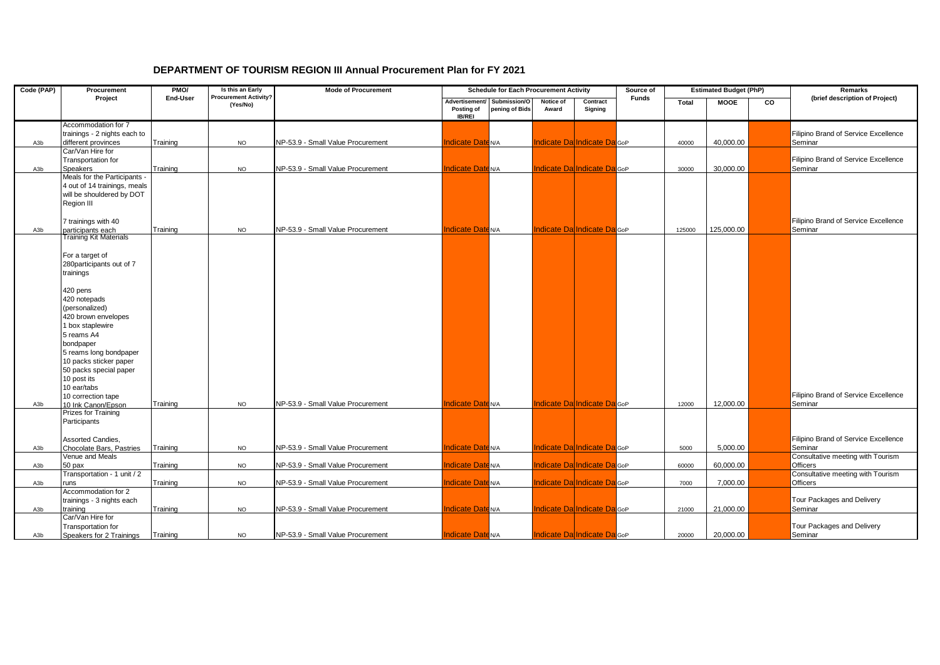| Code (PAP) | Procurement                                                                                                                                                                                                                                                                                                                                                                 | PM <sub>O</sub> | Is this an Early                         | <b>Mode of Procurement</b>        | <b>Estimated Budget (PhP)</b><br><b>Schedule for Each Procurement Activity</b><br>Source of |                                |                    |                                     |              | <b>Remarks</b> |             |                |                                                 |
|------------|-----------------------------------------------------------------------------------------------------------------------------------------------------------------------------------------------------------------------------------------------------------------------------------------------------------------------------------------------------------------------------|-----------------|------------------------------------------|-----------------------------------|---------------------------------------------------------------------------------------------|--------------------------------|--------------------|-------------------------------------|--------------|----------------|-------------|----------------|-------------------------------------------------|
|            | Project                                                                                                                                                                                                                                                                                                                                                                     | End-User        | <b>Procurement Activity?</b><br>(Yes/No) |                                   | Advertisement/<br>Posting of<br><b>IB/REI</b>                                               | Submission/O<br>pening of Bids | Notice of<br>Award | Contract<br>Signing                 | <b>Funds</b> | <b>Total</b>   | <b>MOOE</b> | $\overline{c}$ | (brief description of Project)                  |
| A3b        | Accommodation for 7<br>trainings - 2 nights each to<br>different provinces                                                                                                                                                                                                                                                                                                  | Training        | <b>NO</b>                                | NP-53.9 - Small Value Procurement | <b>Indicate Date N/A</b>                                                                    |                                |                    | Indicate Da Indicate Da GoP         |              | 40000          | 40,000.00   |                | Filipino Brand of Service Excellence<br>Seminar |
| A3b        | Car/Van Hire for<br>Transportation for<br><b>Speakers</b>                                                                                                                                                                                                                                                                                                                   | Training        | <b>NO</b>                                | NP-53.9 - Small Value Procurement | <b>Indicate Date N/A</b>                                                                    |                                |                    | Indicate Da Indicate Da GoP         |              | 30000          | 30,000.00   |                | Filipino Brand of Service Excellence<br>Seminar |
|            | Meals for the Participants .<br>4 out of 14 trainings, meals<br>will be shouldered by DOT<br>Region III<br>7 trainings with 40                                                                                                                                                                                                                                              |                 |                                          |                                   |                                                                                             |                                |                    |                                     |              |                |             |                | Filipino Brand of Service Excellence            |
| A3b        | participants each<br>Training Kit Materials                                                                                                                                                                                                                                                                                                                                 | Training        | <b>NO</b>                                | NP-53.9 - Small Value Procurement | <b>Indicate Date N/A</b>                                                                    |                                |                    | Indicate Da Indicate Da GoP         |              | 125000         | 125,000.00  |                | Seminar                                         |
| A3b        | For a target of<br>280participants out of 7<br>trainings<br>420 pens<br>420 notepads<br>(personalized)<br>420 brown envelopes<br>1 box staplewire<br>5 reams A4<br>bondpaper<br>5 reams long bondpaper<br>10 packs sticker paper<br>50 packs special paper<br>10 post its<br>10 ear/tabs<br>10 correction tape<br>10 Ink Canon/Epson<br>Prizes for Training<br>Participants | Training        | <b>NO</b>                                | NP-53.9 - Small Value Procurement | <b>Indicate Date N/A</b>                                                                    |                                |                    | <b>Indicate Dal Indicate DalGoP</b> |              | 12000          | 12.000.00   |                | Filipino Brand of Service Excellence<br>Seminar |
|            | Assorted Candies.                                                                                                                                                                                                                                                                                                                                                           |                 |                                          |                                   |                                                                                             |                                |                    |                                     |              |                |             |                | Filipino Brand of Service Excellence            |
| A3b        | Chocolate Bars, Pastries<br>Venue and Meals                                                                                                                                                                                                                                                                                                                                 | Training        | <b>NO</b>                                | NP-53.9 - Small Value Procurement | <b>Indicate Date N/A</b>                                                                    |                                |                    | Indicate Da Indicate Da GoP         |              | 5000           | 5,000.00    |                | Seminar<br>Consultative meeting with Tourism    |
| A3b        | 50 pax                                                                                                                                                                                                                                                                                                                                                                      | Training        | <b>NO</b>                                | NP-53.9 - Small Value Procurement | <b>Indicate Date N/A</b>                                                                    |                                |                    | <b>Indicate Da Indicate Da</b> GoP  |              | 60000          | 60,000.00   |                | Officers                                        |
| A3b        | Transportation - 1 unit / 2<br>runs                                                                                                                                                                                                                                                                                                                                         | Training        | <b>NO</b>                                | NP-53.9 - Small Value Procurement | <b>Indicate Date N/A</b>                                                                    |                                |                    | Indicate Da Indicate Da GoP         |              | 7000           | 7,000.00    |                | Consultative meeting with Tourism<br>Officers   |
| A3b        | Accommodation for 2<br>trainings - 3 nights each<br>training                                                                                                                                                                                                                                                                                                                | Training        | <b>NO</b>                                | NP-53.9 - Small Value Procurement | <b>Indicate Date N/A</b>                                                                    |                                |                    | Indicate Da Indicate Da GoP         |              | 21000          | 21,000.00   |                | Tour Packages and Delivery<br>Seminar           |
| A3b        | Car/Van Hire for<br>Transportation for<br>Speakers for 2 Trainings                                                                                                                                                                                                                                                                                                          | Training        | <b>NO</b>                                | NP-53.9 - Small Value Procurement | <b>Indicate Date N/A</b>                                                                    |                                |                    | Indicate Da Indicate Da GoP         |              | 20000          | 20,000.00   |                | Tour Packages and Delivery<br>Seminar           |

## **DEPARTMENT OF TOURISM REGION III Annual Procurement Plan for FY 2021**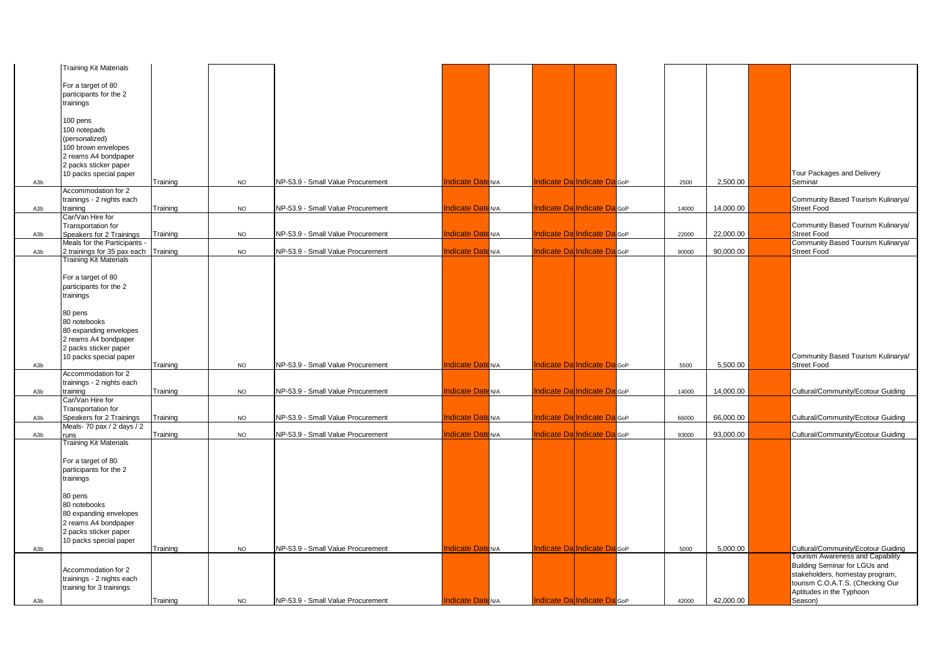|                  | <b>Training Kit Materials</b>        |          |           |                                   |                          |  |                                         |       |           |                                    |
|------------------|--------------------------------------|----------|-----------|-----------------------------------|--------------------------|--|-----------------------------------------|-------|-----------|------------------------------------|
|                  |                                      |          |           |                                   |                          |  |                                         |       |           |                                    |
|                  | For a target of 80                   |          |           |                                   |                          |  |                                         |       |           |                                    |
|                  | participants for the 2               |          |           |                                   |                          |  |                                         |       |           |                                    |
|                  | trainings                            |          |           |                                   |                          |  |                                         |       |           |                                    |
|                  |                                      |          |           |                                   |                          |  |                                         |       |           |                                    |
|                  | 100 pens                             |          |           |                                   |                          |  |                                         |       |           |                                    |
|                  | 100 notepads                         |          |           |                                   |                          |  |                                         |       |           |                                    |
|                  | (personalized)                       |          |           |                                   |                          |  |                                         |       |           |                                    |
|                  | 100 brown envelopes                  |          |           |                                   |                          |  |                                         |       |           |                                    |
|                  | 2 reams A4 bondpaper                 |          |           |                                   |                          |  |                                         |       |           |                                    |
|                  |                                      |          |           |                                   |                          |  |                                         |       |           |                                    |
|                  | 2 packs sticker paper                |          |           |                                   |                          |  |                                         |       |           |                                    |
|                  | 10 packs special paper               |          |           |                                   |                          |  |                                         |       |           | Tour Packages and Delivery         |
| A3b              |                                      | Training | <b>NO</b> | NP-53.9 - Small Value Procurement | <b>Indicate Date N/A</b> |  | ndicate Da Indicate Da GoP              | 2500  | 2,500.00  | Seminar                            |
|                  | Accommodation for 2                  |          |           |                                   |                          |  |                                         |       |           |                                    |
|                  | trainings - 2 nights each            |          |           |                                   |                          |  |                                         |       |           | Community Based Tourism Kulinarya/ |
| A3b              | training                             | Training | <b>NO</b> | NP-53.9 - Small Value Procurement | <b>Indicate Date N/A</b> |  | Indicate Da Indicate Da GoP             | 14000 | 14,000.00 | <b>Street Food</b>                 |
|                  | Car/Van Hire for                     |          |           |                                   |                          |  |                                         |       |           |                                    |
|                  | Transportation for                   |          |           |                                   |                          |  |                                         |       |           | Community Based Tourism Kulinarya/ |
| A3b              | Speakers for 2 Trainings             | Training | <b>NO</b> | NP-53.9 - Small Value Procurement | <b>Indicate Date N/A</b> |  | Indicate Da Indicate Da GoP             | 22000 | 22,000.00 | <b>Street Food</b>                 |
|                  | Meals for the Participants           |          |           |                                   |                          |  |                                         |       |           | Community Based Tourism Kulinarya/ |
| A3b              | 2 trainings for 35 pax each Training |          | <b>NO</b> | NP-53.9 - Small Value Procurement | <b>Indicate Date N/A</b> |  | Indicate Da Indicate Da GoP             | 90000 | 90,000.00 | <b>Street Food</b>                 |
|                  | <b>Training Kit Materials</b>        |          |           |                                   |                          |  |                                         |       |           |                                    |
|                  |                                      |          |           |                                   |                          |  |                                         |       |           |                                    |
|                  |                                      |          |           |                                   |                          |  |                                         |       |           |                                    |
|                  | For a target of 80                   |          |           |                                   |                          |  |                                         |       |           |                                    |
|                  | participants for the 2               |          |           |                                   |                          |  |                                         |       |           |                                    |
|                  | trainings                            |          |           |                                   |                          |  |                                         |       |           |                                    |
|                  |                                      |          |           |                                   |                          |  |                                         |       |           |                                    |
|                  | 80 pens                              |          |           |                                   |                          |  |                                         |       |           |                                    |
|                  | 80 notebooks                         |          |           |                                   |                          |  |                                         |       |           |                                    |
|                  | 80 expanding envelopes               |          |           |                                   |                          |  |                                         |       |           |                                    |
|                  | 2 reams A4 bondpaper                 |          |           |                                   |                          |  |                                         |       |           |                                    |
|                  |                                      |          |           |                                   |                          |  |                                         |       |           |                                    |
|                  | 2 packs sticker paper                |          |           |                                   |                          |  |                                         |       |           |                                    |
|                  | 10 packs special paper               |          |           |                                   |                          |  |                                         |       |           | Community Based Tourism Kulinarya/ |
| A3b              |                                      | Training | <b>NO</b> | NP-53.9 - Small Value Procurement | <b>Indicate Date N/A</b> |  | ndicate Da Indicate Da GoP              | 5500  | 5,500.00  | <b>Street Food</b>                 |
|                  | Accommodation for 2                  |          |           |                                   |                          |  |                                         |       |           |                                    |
|                  | trainings - 2 nights each            |          |           |                                   |                          |  |                                         |       |           |                                    |
| A3b              | training                             | Training | <b>NO</b> | NP-53.9 - Small Value Procurement | <b>Indicate Date N/A</b> |  | Indicate Da Indicate Da GoP             | 14000 | 14,000.00 | Cultural/Community/Ecotour Guiding |
|                  | Car/Van Hire for                     |          |           |                                   |                          |  |                                         |       |           |                                    |
|                  | <b>Transportation for</b>            |          |           |                                   |                          |  |                                         |       |           |                                    |
| A3b              | Speakers for 2 Trainings             | Training | <b>NO</b> | NP-53.9 - Small Value Procurement | <b>Indicate Date N/A</b> |  | Indicate Da Indicate Da GoP             | 66000 | 66,000.00 | Cultural/Community/Ecotour Guiding |
|                  | Meals- 70 pax / 2 days / 2           |          |           |                                   |                          |  |                                         |       |           |                                    |
| A3b              | runs                                 | Training | <b>NO</b> | NP-53.9 - Small Value Procurement | <b>Indicate Date N/A</b> |  | ndicate DalIndicate DalGoP              | 93000 | 93,000.00 | Cultural/Community/Ecotour Guiding |
|                  | <b>Training Kit Materials</b>        |          |           |                                   |                          |  |                                         |       |           |                                    |
|                  |                                      |          |           |                                   |                          |  |                                         |       |           |                                    |
|                  | For a target of 80                   |          |           |                                   |                          |  |                                         |       |           |                                    |
|                  | participants for the 2               |          |           |                                   |                          |  |                                         |       |           |                                    |
|                  |                                      |          |           |                                   |                          |  |                                         |       |           |                                    |
|                  | trainings                            |          |           |                                   |                          |  |                                         |       |           |                                    |
|                  |                                      |          |           |                                   |                          |  |                                         |       |           |                                    |
|                  | 80 pens                              |          |           |                                   |                          |  |                                         |       |           |                                    |
|                  | 80 notebooks                         |          |           |                                   |                          |  |                                         |       |           |                                    |
|                  | 80 expanding envelopes               |          |           |                                   |                          |  |                                         |       |           |                                    |
|                  | 2 reams A4 bondpaper                 |          |           |                                   |                          |  |                                         |       |           |                                    |
|                  | 2 packs sticker paper                |          |           |                                   |                          |  |                                         |       |           |                                    |
|                  | 10 packs special paper               |          |           |                                   |                          |  |                                         |       |           |                                    |
| A <sub>3</sub> b |                                      | Training | <b>NO</b> | NP-53.9 - Small Value Procurement | <b>Indicate Date N/A</b> |  | Indicate DalIndicate Dal <sub>GoP</sub> | 5000  | 5.000.00  | Cultural/Community/Ecotour Guiding |
|                  |                                      |          |           |                                   |                          |  |                                         |       |           | Tourism Awareness and Capability   |
|                  |                                      |          |           |                                   |                          |  |                                         |       |           |                                    |
|                  | Accommodation for 2                  |          |           |                                   |                          |  |                                         |       |           | Building Seminar for LGUs and      |
|                  | trainings - 2 nights each            |          |           |                                   |                          |  |                                         |       |           | stakeholders, homestay program,    |
|                  | training for 3 trainings             |          |           |                                   |                          |  |                                         |       |           | tourism C.O.A.T.S. (Checking Our   |
|                  |                                      |          |           |                                   |                          |  |                                         |       |           | Aptitudes in the Typhoon           |
| A3b              |                                      | Training | <b>NO</b> | NP-53.9 - Small Value Procurement | <b>Indicate Date N/A</b> |  | Indicate Da Indicate Da GoP             | 42000 | 42,000.00 | Season)                            |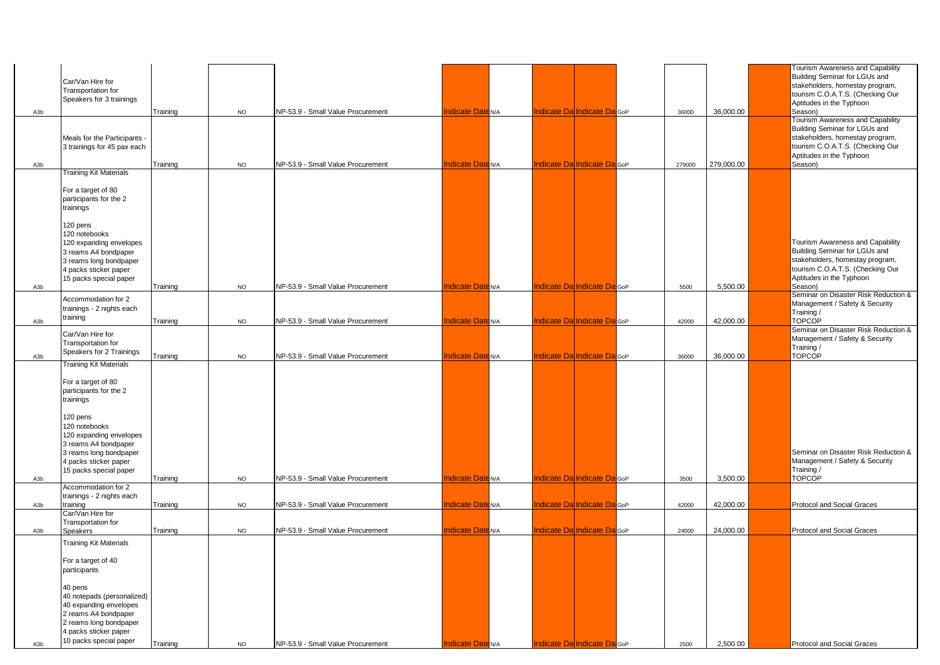|     |                                                                                                                                                                                                                        |          |           |                                   |                          |                                      |        |            | Tourism Awareness and Capability                                                                                                                                                |
|-----|------------------------------------------------------------------------------------------------------------------------------------------------------------------------------------------------------------------------|----------|-----------|-----------------------------------|--------------------------|--------------------------------------|--------|------------|---------------------------------------------------------------------------------------------------------------------------------------------------------------------------------|
|     | Car/Van Hire for<br>Transportation for<br>Speakers for 3 trainings                                                                                                                                                     |          |           |                                   |                          |                                      |        |            | Building Seminar for LGUs and<br>stakeholders, homestay program,<br>tourism C.O.A.T.S. (Checking Our                                                                            |
| A3b |                                                                                                                                                                                                                        | Training | <b>NO</b> | NP-53.9 - Small Value Procurement | <b>Indicate Date N/A</b> | Indicate Dal Indicate DalGoP         | 36000  | 36,000.00  | Aptitudes in the Typhoon<br>Season)                                                                                                                                             |
|     | Meals for the Participants -<br>3 trainings for 45 pax each                                                                                                                                                            |          |           |                                   |                          |                                      |        |            | <b>Fourism Awareness and Capability</b><br>Building Seminar for LGUs and<br>stakeholders, homestay program,<br>tourism C.O.A.T.S. (Checking Our<br>Aptitudes in the Typhoon     |
| A3b | <b>Training Kit Materials</b>                                                                                                                                                                                          | Training | <b>NO</b> | NP-53.9 - Small Value Procurement | ndicate Date N/A         | <b>Indicate Da Indicate Da</b> GoP   | 279000 | 279,000.00 | Season)                                                                                                                                                                         |
|     | For a target of 80<br>participants for the 2<br>trainings<br>120 pens                                                                                                                                                  |          |           |                                   |                          |                                      |        |            |                                                                                                                                                                                 |
| A3b | 120 notebooks<br>120 expanding envelopes<br>3 reams A4 bondpaper<br>3 reams long bondpaper<br>4 packs sticker paper<br>15 packs special paper                                                                          | Training | <b>NO</b> | NP-53.9 - Small Value Procurement | <b>Indicate Date N/A</b> | <b>Indicate Da Indicate Da</b> GoP   | 5500   | 5,500.00   | Tourism Awareness and Capability<br>Building Seminar for LGUs and<br>stakeholders, homestay program,<br>tourism C.O.A.T.S. (Checking Our<br>Aptitudes in the Typhoon<br>Season) |
|     | Accommodation for 2<br>trainings - 2 nights each                                                                                                                                                                       |          |           |                                   |                          |                                      |        |            | Seminar on Disaster Risk Reduction &<br>Management / Safety & Security                                                                                                          |
|     | training                                                                                                                                                                                                               |          |           | NP-53.9 - Small Value Procurement | <b>Indicate Date N/A</b> | <b>Indicate Da Indicate Da</b> GoP   |        | 42,000.00  | Training/<br><b>TOPCOP</b>                                                                                                                                                      |
| A3b | Car/Van Hire for<br>Transportation for<br>Speakers for 2 Trainings                                                                                                                                                     | Training | <b>NO</b> |                                   |                          |                                      | 42000  |            | Seminar on Disaster Risk Reduction &<br>Management / Safety & Security<br>Training /                                                                                            |
| A3b | <b>Training Kit Materials</b>                                                                                                                                                                                          | Training | <b>NO</b> | NP-53.9 - Small Value Procurement | ndicate Date N/A         | <b>Indicate Dal Indicate Dal</b> GoP | 36000  | 36,000.00  | <b>TOPCOP</b>                                                                                                                                                                   |
| A3b | For a target of 80<br>participants for the 2<br>trainings<br>120 pens<br>120 notebooks<br>120 expanding envelopes<br>3 reams A4 bondpaper<br>3 reams long bondpaper<br>4 packs sticker paper<br>15 packs special paper | Training | <b>NO</b> | NP-53.9 - Small Value Procurement | ndicate Date N/A         | Indicate Da Indicate Da GoP          | 3500   | 3,500.00   | Seminar on Disaster Risk Reduction &<br>Management / Safety & Security<br>Training /<br><b>TOPCOP</b>                                                                           |
|     | Accommodation for 2                                                                                                                                                                                                    |          |           |                                   |                          |                                      |        |            |                                                                                                                                                                                 |
|     | trainings - 2 nights each                                                                                                                                                                                              |          |           |                                   |                          |                                      |        |            |                                                                                                                                                                                 |
| A3b | training<br>Car/Van Hire for                                                                                                                                                                                           | Training | <b>NO</b> | NP-53.9 - Small Value Procurement | ndicate Date N/A         | Indicate Da Indicate Da GoP          | 42000  | 42,000.00  | Protocol and Social Graces                                                                                                                                                      |
|     | Transportation for                                                                                                                                                                                                     |          |           |                                   |                          |                                      |        |            |                                                                                                                                                                                 |
| A3b | <b>Speakers</b>                                                                                                                                                                                                        | Training | <b>NO</b> | NP-53.9 - Small Value Procurement | Indicate DateN/A         | Indicate Da Indicate Da GoP          | 24000  | 24,000.00  | Protocol and Social Graces                                                                                                                                                      |
|     | <b>Training Kit Materials</b><br>For a target of 40<br>participants<br>40 pens<br>40 notepads (personalized)<br>40 expanding envelopes<br>2 reams A4 bondpaper<br>2 reams long bondpaper<br>4 packs sticker paper      |          |           |                                   |                          |                                      |        |            |                                                                                                                                                                                 |
| A3b | 10 packs special paper                                                                                                                                                                                                 | Training | <b>NO</b> | NP-53.9 - Small Value Procurement | <b>Indicate Date N/A</b> | <b>Indicate Da Indicate Da</b> GoP   | 2500   | 2,500.00   | Protocol and Social Graces                                                                                                                                                      |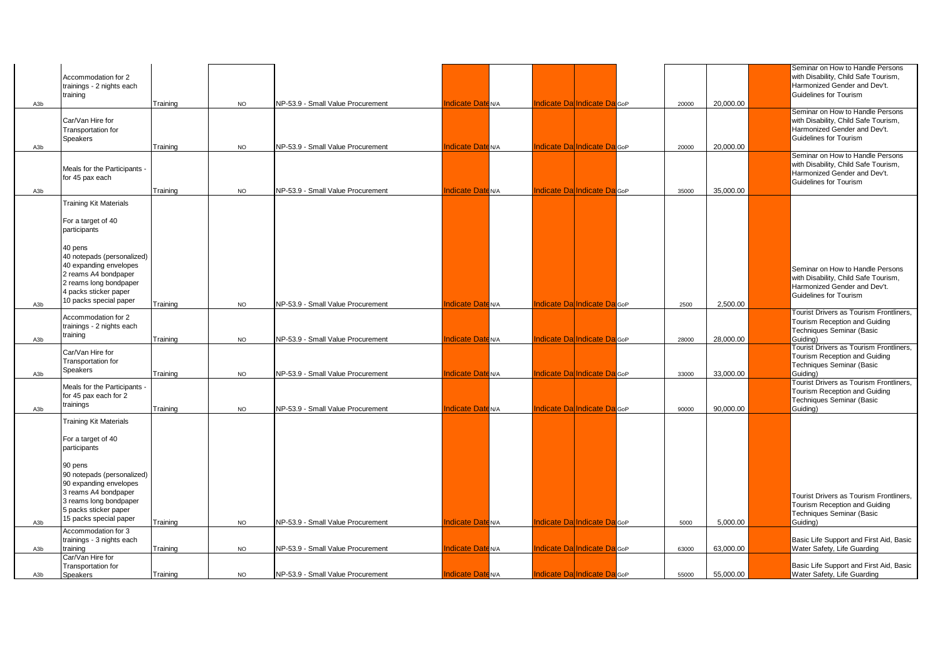|                  | Accommodation for 2<br>trainings - 2 nights each<br>training                                                                                              |          |           |                                   |                             |                                         |  |       |           | Seminar on How to Handle Persons<br>with Disability, Child Safe Tourism,<br>Harmonized Gender and Dev't.<br>Guidelines for Tourism |
|------------------|-----------------------------------------------------------------------------------------------------------------------------------------------------------|----------|-----------|-----------------------------------|-----------------------------|-----------------------------------------|--|-------|-----------|------------------------------------------------------------------------------------------------------------------------------------|
| A3b              |                                                                                                                                                           | Training | <b>NO</b> | NP-53.9 - Small Value Procurement | ndicate Date N/A            | Indicate Da Indicate Da GoP             |  | 20000 | 20,000.00 |                                                                                                                                    |
| A <sub>3</sub> b | Car/Van Hire for<br>Transportation for<br><b>Speakers</b>                                                                                                 | Training | <b>NO</b> | NP-53.9 - Small Value Procurement | ndicate Date <sub>N/A</sub> | ndicate DalIndicate Dal <sub>GoP</sub>  |  | 20000 | 20.000.00 | Seminar on How to Handle Persons<br>with Disability, Child Safe Tourism,<br>Harmonized Gender and Dev't.<br>Guidelines for Tourism |
|                  |                                                                                                                                                           |          |           |                                   |                             |                                         |  |       |           | Seminar on How to Handle Persons                                                                                                   |
| A3b              | Meals for the Participants -<br>for 45 pax each                                                                                                           | Training | <b>NO</b> | NP-53.9 - Small Value Procurement | ndicate Date N/A            | Indicate Da Indicate Da GoP             |  | 35000 | 35,000.00 | with Disability, Child Safe Tourism,<br>Harmonized Gender and Dev't.<br>Guidelines for Tourism                                     |
|                  |                                                                                                                                                           |          |           |                                   |                             |                                         |  |       |           |                                                                                                                                    |
|                  | <b>Training Kit Materials</b><br>For a target of 40<br>participants<br>40 pens                                                                            |          |           |                                   |                             |                                         |  |       |           |                                                                                                                                    |
|                  | 40 notepads (personalized)<br>40 expanding envelopes<br>2 reams A4 bondpaper<br>2 reams long bondpaper<br>4 packs sticker paper<br>10 packs special paper |          |           |                                   |                             |                                         |  |       |           | Seminar on How to Handle Persons<br>with Disability, Child Safe Tourism,<br>Harmonized Gender and Dev't.<br>Guidelines for Tourism |
| A3b              |                                                                                                                                                           | Training | <b>NO</b> | NP-53.9 - Small Value Procurement | ndicate Date <sup>N/A</sup> | ndicate Dal Indicate Dal <sub>GoP</sub> |  | 2500  | 2.500.00  | <b>Tourist Drivers as Tourism Frontliners,</b>                                                                                     |
| A3b              | Accommodation for 2<br>trainings - 2 nights each<br>training                                                                                              | Training | <b>NO</b> | NP-53.9 - Small Value Procurement | ndicate Date N/A            | Indicate Da Indicate Da GoP             |  | 28000 | 28,000.00 | Tourism Reception and Guiding<br>Techniques Seminar (Basic<br>Guiding)                                                             |
| A3b              | Car/Van Hire for<br>Transportation for<br><b>Speakers</b>                                                                                                 | Training | <b>NO</b> | NP-53.9 - Small Value Procurement | ndicate Date <sup>N/A</sup> | ndicate Da Indicate Da GoP              |  | 33000 | 33.000.00 | Tourist Drivers as Tourism Frontliners,<br>Tourism Reception and Guiding<br>Techniques Seminar (Basic<br>Guiding)                  |
| A3b              | Meals for the Participants -<br>for 45 pax each for 2<br>trainings                                                                                        | Training | <b>NO</b> | NP-53.9 - Small Value Procurement | ndicate Date <sub>N/A</sub> | ndicate Da Indicate Da GoP              |  | 90000 | 90.000.00 | Tourist Drivers as Tourism Frontliners,<br>Tourism Reception and Guiding<br>Techniques Seminar (Basic<br>Guiding)                  |
|                  | <b>Training Kit Materials</b>                                                                                                                             |          |           |                                   |                             |                                         |  |       |           |                                                                                                                                    |
|                  | For a target of 40<br>participants<br>90 pens<br>90 notepads (personalized)<br>90 expanding envelopes                                                     |          |           |                                   |                             |                                         |  |       |           |                                                                                                                                    |
| A <sub>3</sub> b | 3 reams A4 bondpaper<br>3 reams long bondpaper<br>5 packs sticker paper<br>15 packs special paper                                                         | Training | <b>NO</b> | NP-53.9 - Small Value Procurement | ndicate Date N/A            | Indicate DalIndicate Dal <sub>GoP</sub> |  | 5000  | 5.000.00  | Tourist Drivers as Tourism Frontliners,<br>Tourism Reception and Guiding<br><b>Techniques Seminar (Basic</b><br>Guidina)           |
|                  | Accommodation for 3<br>trainings - 3 nights each                                                                                                          |          |           |                                   |                             |                                         |  |       |           | Basic Life Support and First Aid, Basic                                                                                            |
| A3b              | training<br>Car/Van Hire for                                                                                                                              | Training | <b>NO</b> | NP-53.9 - Small Value Procurement | ndicate Date <sup>N/A</sup> | ndicate DalIndicate Dal <sub>GoP</sub>  |  | 63000 | 63,000.00 | Water Safety, Life Guarding                                                                                                        |
| A3b              | Transportation for<br>Speakers                                                                                                                            | Training | NO        | NP-53.9 - Small Value Procurement | ndicate Date N/A            | ndicate DalIndicate Dal <sub>GoP</sub>  |  | 55000 | 55.000.00 | Basic Life Support and First Aid, Basic<br>Water Safety, Life Guarding                                                             |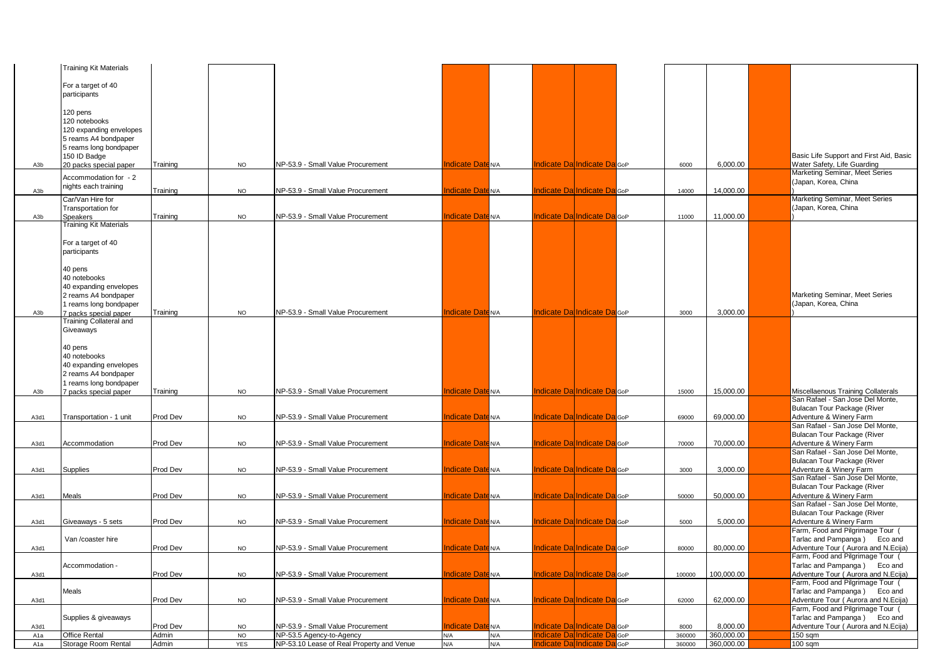|                  | <b>Training Kit Materials</b>  |          |           |                                           |                             |     |                                         |                             |        |            |                                                                         |
|------------------|--------------------------------|----------|-----------|-------------------------------------------|-----------------------------|-----|-----------------------------------------|-----------------------------|--------|------------|-------------------------------------------------------------------------|
|                  |                                |          |           |                                           |                             |     |                                         |                             |        |            |                                                                         |
|                  | For a target of 40             |          |           |                                           |                             |     |                                         |                             |        |            |                                                                         |
|                  | participants                   |          |           |                                           |                             |     |                                         |                             |        |            |                                                                         |
|                  |                                |          |           |                                           |                             |     |                                         |                             |        |            |                                                                         |
|                  | 120 pens<br>120 notebooks      |          |           |                                           |                             |     |                                         |                             |        |            |                                                                         |
|                  | 120 expanding envelopes        |          |           |                                           |                             |     |                                         |                             |        |            |                                                                         |
|                  | 5 reams A4 bondpaper           |          |           |                                           |                             |     |                                         |                             |        |            |                                                                         |
|                  | 5 reams long bondpaper         |          |           |                                           |                             |     |                                         |                             |        |            |                                                                         |
|                  | 150 ID Badge                   |          |           |                                           |                             |     |                                         |                             |        |            | Basic Life Support and First Aid, Basic                                 |
| A3b              | 20 packs special paper         | Training | <b>NO</b> | NP-53.9 - Small Value Procurement         | ndicate Date <sup>N/A</sup> |     |                                         | ndicate Da Indicate Da GoP  | 6000   | 6,000.00   | Water Safety, Life Guarding                                             |
|                  | Accommodation for - 2          |          |           |                                           |                             |     |                                         |                             |        |            | Marketing Seminar, Meet Series                                          |
|                  | nights each training           | Training |           |                                           |                             |     |                                         |                             |        |            | (Japan, Korea, China                                                    |
| A <sub>3</sub> b | Car/Van Hire for               |          | <b>NO</b> | NP-53.9 - Small Value Procurement         | ndicate Date <sub>N/A</sub> |     |                                         | ndicate Da Indicate Da GoP  | 14000  | 14,000.00  | Marketing Seminar, Meet Series                                          |
|                  | <b>Transportation for</b>      |          |           |                                           |                             |     |                                         |                             |        |            | Japan, Korea, China                                                     |
| A3b              | <b>Speakers</b>                | Training | <b>NO</b> | NP-53.9 - Small Value Procurement         | ndicate DateN/A             |     |                                         | ndicate Dal Indicate Da GoP | 11000  | 11,000.00  |                                                                         |
|                  | <b>Training Kit Materials</b>  |          |           |                                           |                             |     |                                         |                             |        |            |                                                                         |
|                  |                                |          |           |                                           |                             |     |                                         |                             |        |            |                                                                         |
|                  | For a target of 40             |          |           |                                           |                             |     |                                         |                             |        |            |                                                                         |
|                  | participants                   |          |           |                                           |                             |     |                                         |                             |        |            |                                                                         |
|                  | 40 pens                        |          |           |                                           |                             |     |                                         |                             |        |            |                                                                         |
|                  | 40 notebooks                   |          |           |                                           |                             |     |                                         |                             |        |            |                                                                         |
|                  | 40 expanding envelopes         |          |           |                                           |                             |     |                                         |                             |        |            |                                                                         |
|                  | 2 reams A4 bondpaper           |          |           |                                           |                             |     |                                         |                             |        |            | Marketing Seminar, Meet Series                                          |
|                  | 1 reams long bondpaper         |          |           |                                           |                             |     |                                         |                             |        |            | (Japan, Korea, China                                                    |
| A3b              | 7 packs special paper          | Training | <b>NO</b> | NP-53.9 - Small Value Procurement         | ndicate Date N/A            |     |                                         | ndicate DalIndicate DalGoP  | 3000   | 3,000.00   |                                                                         |
|                  | <b>Training Collateral and</b> |          |           |                                           |                             |     |                                         |                             |        |            |                                                                         |
|                  | Giveaways                      |          |           |                                           |                             |     |                                         |                             |        |            |                                                                         |
|                  | 40 pens                        |          |           |                                           |                             |     |                                         |                             |        |            |                                                                         |
|                  | 40 notebooks                   |          |           |                                           |                             |     |                                         |                             |        |            |                                                                         |
|                  | 40 expanding envelopes         |          |           |                                           |                             |     |                                         |                             |        |            |                                                                         |
|                  | 2 reams A4 bondpaper           |          |           |                                           |                             |     |                                         |                             |        |            |                                                                         |
|                  | I reams long bondpaper         |          |           |                                           |                             |     |                                         |                             |        |            |                                                                         |
| A3b              | 7 packs special paper          | Training | <b>NO</b> | NP-53.9 - Small Value Procurement         | ndicate Date <sub>N/A</sub> |     |                                         | ndicate Da Indicate Da GoP  | 15000  | 15,000.00  | Miscellaenous Training Collaterals                                      |
|                  |                                |          |           |                                           |                             |     |                                         |                             |        |            | San Rafael - San Jose Del Monte,<br>Bulacan Tour Package (River         |
| A3d1             | Transportation - 1 unit        | Prod Dev | <b>NO</b> | NP-53.9 - Small Value Procurement         | ndicate Date N/A            |     |                                         | ndicate Dal Indicate Da GoP | 69000  | 69,000.00  | Adventure & Winery Farm                                                 |
|                  |                                |          |           |                                           |                             |     |                                         |                             |        |            | San Rafael - San Jose Del Monte,                                        |
|                  |                                |          |           |                                           |                             |     |                                         |                             |        |            | Bulacan Tour Package (River                                             |
| A3d1             | Accommodation                  | Prod Dev | <b>NO</b> | NP-53.9 - Small Value Procurement         | ndicate Date <sub>N/A</sub> |     |                                         | ndicate Da Indicate Da GoP  | 70000  | 70,000.00  | Adventure & Winery Farm                                                 |
|                  |                                |          |           |                                           |                             |     |                                         |                             |        |            | San Rafael - San Jose Del Monte,                                        |
|                  |                                |          |           |                                           |                             |     |                                         |                             |        |            | Bulacan Tour Package (River                                             |
| A3d1             | Supplies                       | Prod Dev | <b>NO</b> | NP-53.9 - Small Value Procurement         | ndicate DateN/A             |     |                                         | ndicate Dal Indicate Da GoP | 3000   | 3,000.00   | Adventure & Winery Farm<br>San Rafael - San Jose Del Monte,             |
|                  |                                |          |           |                                           |                             |     |                                         |                             |        |            | Bulacan Tour Package (River                                             |
| A3d1             | Meals                          | Prod Dev | <b>NO</b> | NP-53.9 - Small Value Procurement         | ndicate Date N/A            |     |                                         | ndicate Da Indicate Da GoP  | 50000  | 50,000.00  | Adventure & Winery Farm                                                 |
|                  |                                |          |           |                                           |                             |     |                                         |                             |        |            | San Rafael - San Jose Del Monte,                                        |
|                  |                                |          |           |                                           |                             |     |                                         |                             |        |            | Bulacan Tour Package (River                                             |
| A3d1             | Giveaways - 5 sets             | Prod Dev | <b>NO</b> | NP-53.9 - Small Value Procurement         | ndicate Date <sub>N/A</sub> |     |                                         | ndicate Dal Indicate DalGoP | 5000   | 5,000.00   | Adventure & Winery Farm                                                 |
|                  | Van /coaster hire              |          |           |                                           |                             |     |                                         |                             |        |            | Farm, Food and Pilgrimage Tour (                                        |
| A3d1             |                                | Prod Dev | <b>NO</b> | NP-53.9 - Small Value Procurement         | ndicate Date <sub>N/A</sub> |     | Indicate Da Indicate Da GoP             |                             | 80000  | 80,000.00  | Tarlac and Pampanga) Eco and<br>Adventure Tour (Aurora and N.Ecija)     |
|                  |                                |          |           |                                           |                             |     |                                         |                             |        |            | Farm, Food and Pilgrimage Tour                                          |
|                  | Accommodation -                |          |           |                                           |                             |     |                                         |                             |        |            | Farlac and Pampanga) Eco and                                            |
| A3d1             |                                | Prod Dev | <b>NO</b> | NP-53.9 - Small Value Procurement         | <b>Indicate Date N/A</b>    |     | Indicate DalIndicate Dal <sub>GoP</sub> |                             | 100000 | 100,000.00 | Adventure Tour (Aurora and N.Ecija)                                     |
|                  |                                |          |           |                                           |                             |     |                                         |                             |        |            | Farm, Food and Pilgrimage Tour (                                        |
|                  | Meals                          |          |           |                                           |                             |     |                                         |                             |        |            | Tarlac and Pampanga) Eco and                                            |
| A3d1             |                                | Prod Dev | <b>NO</b> | NP-53.9 - Small Value Procurement         | ndicate Date N/A            |     |                                         | ndicate Dal Indicate Da GoP | 62000  | 62,000.00  | Adventure Tour (Aurora and N.Ecija)<br>Farm, Food and Pilgrimage Tour ( |
|                  | Supplies & giveaways           |          |           |                                           |                             |     |                                         |                             |        |            | Tarlac and Pampanga) Eco and                                            |
| A3d1             |                                | Prod Dev | <b>NO</b> | NP-53.9 - Small Value Procurement         | <b>Indicate Date N/A</b>    |     |                                         | ndicate Da Indicate Da GoP  | 8000   | 8,000.00   | Adventure Tour (Aurora and N.Ecija)                                     |
| A1a              | <b>Office Rental</b>           | Admin    | <b>NO</b> | NP-53.5 Agency-to-Agency                  | N/A                         | N/A |                                         | ndicate Da Indicate Da GoP  | 360000 | 360,000.00 | $150$ sqm                                                               |
| A <sub>1</sub> a | Storage Room Rental            | Admin    | YES       | NP-53.10 Lease of Real Property and Venue | N/A                         | N/A | Indicate Da Indicate Da GoP             |                             | 360000 | 360,000.00 | $100$ sqm                                                               |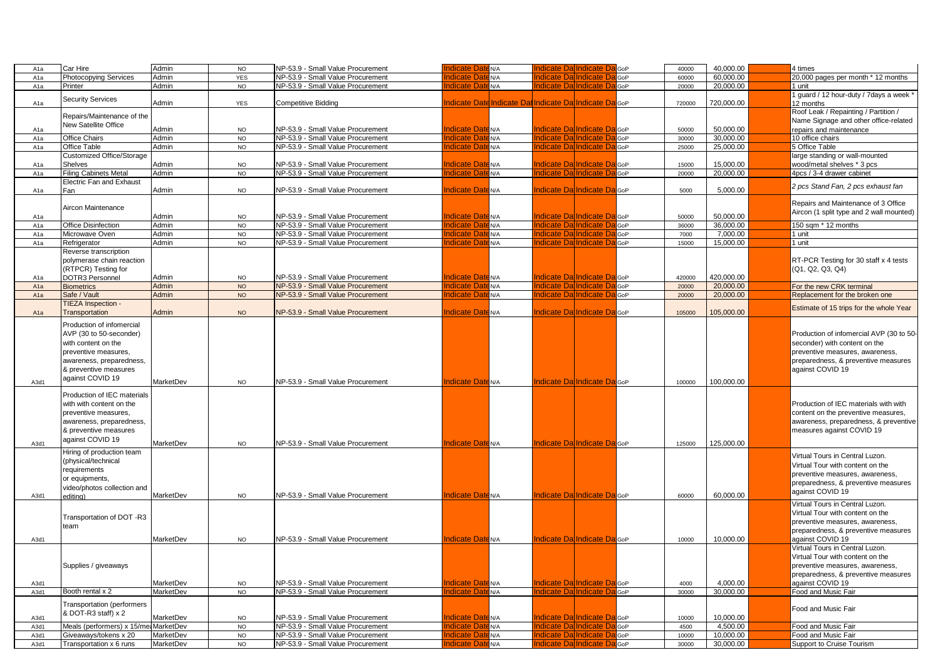| A <sub>1</sub> a | Car Hire                              | Admin            | <b>NO</b>      | NP-53.9 - Small Value Procurement | <b>Indicate Date N/A</b>                            | Indicate DalIndicate D                  | GoP          | 40000  | 40,000.00  | 4 times                                  |  |
|------------------|---------------------------------------|------------------|----------------|-----------------------------------|-----------------------------------------------------|-----------------------------------------|--------------|--------|------------|------------------------------------------|--|
| A <sub>1a</sub>  | <b>Photocopying Services</b>          | Admin            | <b>YES</b>     | NP-53.9 - Small Value Procurement | ndicate Dat<br>N/A                                  | ndicate DalIndicate                     | GoP          | 60000  | 60,000.00  | 20,000 pages per month * 12 months       |  |
| A1a              | Printer                               | Admin            | <b>NO</b>      | NP-53.9 - Small Value Procurement | ndicate Daten/A                                     | ndicate Da <mark>lIndicate D</mark>     | GoP          | 20000  | 20,000.00  | 1 unit                                   |  |
|                  |                                       |                  |                |                                   |                                                     |                                         |              |        |            | 1 guard / 12 hour-duty / 7days a week    |  |
| A <sub>1a</sub>  | <b>Security Services</b>              | Admin            | <b>YES</b>     | Competitive Bidding               | Indicate Date Indicate Dat Indicate Dal Indicate Da |                                         | <b>d</b> GoP | 720000 | 720,000.00 | 12 months                                |  |
|                  | Repairs/Maintenance of the            |                  |                |                                   |                                                     |                                         |              |        |            | Roof Leak / Repainting / Partition /     |  |
|                  | <b>New Satellite Office</b>           |                  |                |                                   |                                                     |                                         |              |        |            | Name Signage and other office-related    |  |
| A1a              |                                       | Admin            | <b>NO</b>      | VP-53.9 - Small Value Procurement | <b>Indicate Date N/A</b>                            | <b>Indicate Da Indicate Da</b> GoP      |              | 50000  | 50,000.00  | repairs and maintenance                  |  |
| A <sub>1a</sub>  | <b>Office Chairs</b>                  | Admin            | <b>NO</b>      | NP-53.9 - Small Value Procurement | ndicate Daten/A                                     | ndicate Dallndicate D                   | <b>GoP</b>   | 30000  | 30,000.00  | 10 office chairs                         |  |
| A1a              | Office Table                          | Admin            | <b>NO</b>      | NP-53.9 - Small Value Procurement | <b>Indicate Date N/A</b>                            | <b>Indicate Da Indicate D</b>           | GoP          | 25000  | 25,000.00  | 5 Office Table                           |  |
|                  | <b>Customized Office/Storage</b>      |                  |                |                                   |                                                     |                                         |              |        |            | large standing or wall-mounted           |  |
| A1a              | Shelves                               | Admin            | NO             | VP-53.9 - Small Value Procurement | ndicate Date N/A                                    | ndicate Da Indicate Da                  | GoP          | 15000  | 15,000.00  | wood/metal shelves * 3 pcs               |  |
| A <sub>1</sub> a | <b>Filing Cabinets Metal</b>          | Admin            | <b>NO</b>      | NP-53.9 - Small Value Procurement | ndicate Date <sub>N/A</sub>                         | Indicate DalIndicate D                  | <b>GoP</b>   | 20000  | 20.000.00  | 4pcs / 3-4 drawer cabinet                |  |
|                  | <b>Electric Fan and Exhaust</b>       |                  |                |                                   |                                                     |                                         |              |        |            |                                          |  |
| A1a              | Fan                                   | Admin            | <b>NO</b>      | NP-53.9 - Small Value Procurement | <b>Indicate Date</b> N/A                            | Indicate DalIndicate Dal <sub>GoP</sub> |              | 5000   | 5,000.00   | 2 pcs Stand Fan, 2 pcs exhaust fan       |  |
|                  |                                       |                  |                |                                   |                                                     |                                         |              |        |            |                                          |  |
|                  | Aircon Maintenance                    |                  |                |                                   |                                                     |                                         |              |        |            | Repairs and Maintenance of 3 Office      |  |
| A <sub>1a</sub>  |                                       | Admin            | <b>NO</b>      | NP-53.9 - Small Value Procurement | <b>Indicate Date N/A</b>                            | <b>Indicate Dal Indicate DalGoP</b>     |              | 50000  | 50.000.00  | Aircon (1 split type and 2 wall mounted) |  |
| A <sub>1a</sub>  | Office Disinfection                   | Admin            | N <sub>O</sub> | NP-53.9 - Small Value Procurement | ndicate Dat<br>E <sub>N/A</sub>                     | ndicate DalIndicate                     | GoP          | 36000  | 36,000.00  | 150 sqm * 12 months                      |  |
| A <sub>1a</sub>  | Microwave Oven                        | Admin            | <b>NO</b>      | NP-53.9 - Small Value Procurement | าdicate Dat<br>EN/A                                 | ndicate DalIndicate D                   | GoP          | 7000   | 7.000.00   | 1 unit                                   |  |
| A <sub>1a</sub>  | Refrigerator                          | Admin            | <b>NO</b>      | NP-53.9 - Small Value Procurement | ndicate Date N/A                                    | Indicate Da Indicate D                  | GoP          | 15000  | 15,000.00  | 1 unit                                   |  |
|                  | Reverse transcription                 |                  |                |                                   |                                                     |                                         |              |        |            |                                          |  |
|                  | polymerase chain reaction             |                  |                |                                   |                                                     |                                         |              |        |            | RT-PCR Testing for 30 staff x 4 tests    |  |
|                  | (RTPCR) Testing for                   |                  |                |                                   |                                                     |                                         |              |        |            | (Q1, Q2, Q3, Q4)                         |  |
|                  |                                       |                  |                |                                   |                                                     | ndicate Da Indicate Da GoP              |              |        | 420,000.00 |                                          |  |
| A <sub>1</sub> a | DOTR3 Personnel                       | Admin            | <b>NO</b>      | VP-53.9 - Small Value Procurement | ndicate DateN/A                                     |                                         |              | 420000 |            |                                          |  |
| A1a              | <b>Biometrics</b>                     | <b>Admin</b>     | <b>NO</b>      | NP-53.9 - Small Value Procurement | ndicate Date N/A                                    | ndicate DalIndicate D                   | GoP          | 20000  | 20,000.00  | For the new CRK terminal                 |  |
| A <sub>1a</sub>  | Safe / Vault                          | Admin            | <b>NO</b>      | NP-53.9 - Small Value Procurement | <b>Indicate Date N/A</b>                            | Indicate DalIndicate D                  | GoP          | 20000  | 20,000.00  | Replacement for the broken one           |  |
|                  | TIEZA Inspection -                    |                  |                |                                   |                                                     |                                         |              |        |            | Estimate of 15 trips for the whole Year  |  |
| A <sub>1</sub> a | Transportation                        | Admin            | <b>NO</b>      | NP-53.9 - Small Value Procurement | <b>Indicate Date N/A</b>                            | Indicate Da Indicate Da GoP             |              | 105000 | 105,000.00 |                                          |  |
|                  | Production of infomercial             |                  |                |                                   |                                                     |                                         |              |        |            |                                          |  |
|                  | AVP (30 to 50-seconder)               |                  |                |                                   |                                                     |                                         |              |        |            | Production of infomercial AVP (30 to 50- |  |
|                  | with content on the                   |                  |                |                                   |                                                     |                                         |              |        |            | seconder) with content on the            |  |
|                  | preventive measures,                  |                  |                |                                   |                                                     |                                         |              |        |            | preventive measures, awareness,          |  |
|                  | awareness, preparedness,              |                  |                |                                   |                                                     |                                         |              |        |            |                                          |  |
|                  |                                       |                  |                |                                   |                                                     |                                         |              |        |            | preparedness, & preventive measures      |  |
|                  | & preventive measures                 |                  |                |                                   |                                                     |                                         |              |        |            | against COVID 19                         |  |
| A3d1             | against COVID 19                      | MarketDev        | <b>NO</b>      | NP-53.9 - Small Value Procurement | <b>Indicate Date N/A</b>                            | <b>Indicate Da Indicate Da</b> GoP      |              | 100000 | 100,000.00 |                                          |  |
|                  |                                       |                  |                |                                   |                                                     |                                         |              |        |            |                                          |  |
|                  | Production of IEC materials           |                  |                |                                   |                                                     |                                         |              |        |            |                                          |  |
|                  | with with content on the              |                  |                |                                   |                                                     |                                         |              |        |            | Production of IEC materials with with    |  |
|                  | preventive measures,                  |                  |                |                                   |                                                     |                                         |              |        |            | content on the preventive measures,      |  |
|                  | awareness, preparedness,              |                  |                |                                   |                                                     |                                         |              |        |            | awareness, preparedness, & preventive    |  |
|                  | & preventive measures                 |                  |                |                                   |                                                     |                                         |              |        |            | measures against COVID 19                |  |
|                  | against COVID 19                      | MarketDev        | <b>NO</b>      | NP-53.9 - Small Value Procurement | <b>Indicate Date N/A</b>                            | Indicate DalIndicate Dal <sub>GoP</sub> |              | 125000 | 125,000.00 |                                          |  |
| A3d1             |                                       |                  |                |                                   |                                                     |                                         |              |        |            |                                          |  |
|                  | Hiring of production team             |                  |                |                                   |                                                     |                                         |              |        |            | Virtual Tours in Central Luzon.          |  |
|                  | (physical/technical                   |                  |                |                                   |                                                     |                                         |              |        |            | Virtual Tour with content on the         |  |
|                  | requirements                          |                  |                |                                   |                                                     |                                         |              |        |            | preventive measures, awareness,          |  |
|                  | or equipments,                        |                  |                |                                   |                                                     |                                         |              |        |            | preparedness, & preventive measures      |  |
|                  | video/photos collection and           |                  |                |                                   |                                                     |                                         |              |        |            | against COVID 19                         |  |
| A3d1             | editing)                              | MarketDev        | <b>NO</b>      | NP-53.9 - Small Value Procurement | <b>Indicate Date N/A</b>                            | <b>Indicate Da Indicate Da</b> GoP      |              | 60000  | 60,000.00  |                                          |  |
|                  |                                       |                  |                |                                   |                                                     |                                         |              |        |            | Virtual Tours in Central Luzon.          |  |
|                  | Transportation of DOT -R3             |                  |                |                                   |                                                     |                                         |              |        |            | Virtual Tour with content on the         |  |
|                  |                                       |                  |                |                                   |                                                     |                                         |              |        |            | preventive measures, awareness,          |  |
|                  | team                                  |                  |                |                                   |                                                     |                                         |              |        |            | preparedness, & preventive measures      |  |
| A3d1             |                                       | MarketDev        | <b>NO</b>      | NP-53.9 - Small Value Procurement | <b>Indicate Date N/A</b>                            | Indicate Da Indicate Da GoP             |              | 10000  | 10,000.00  | against COVID 19                         |  |
|                  |                                       |                  |                |                                   |                                                     |                                         |              |        |            | Virtual Tours in Central Luzon.          |  |
|                  |                                       |                  |                |                                   |                                                     |                                         |              |        |            | Virtual Tour with content on the         |  |
|                  | Supplies / giveaways                  |                  |                |                                   |                                                     |                                         |              |        |            | preventive measures, awareness,          |  |
|                  |                                       |                  |                |                                   |                                                     |                                         |              |        |            | preparedness, & preventive measures      |  |
| A3d1             |                                       | <b>MarketDev</b> | <b>NO</b>      | VP-53.9 - Small Value Procurement | <b>Indicate Date N/A</b>                            | Indicate DalIndicate Dal <sub>GoP</sub> |              | 4000   | 4,000.00   | against COVID 19                         |  |
| A3d1             | Booth rental x 2                      | MarketDev        | NO             | NP-53.9 - Small Value Procurement | Indicate Date N/A                                   | Indicate DalIndicate Da                 | GoP          | 30000  | 30.000.00  | Food and Music Fair                      |  |
|                  |                                       |                  |                |                                   |                                                     |                                         |              |        |            |                                          |  |
|                  | <b>Transportation (performers</b>     |                  |                |                                   |                                                     |                                         |              |        |            | Food and Music Fair                      |  |
|                  | & DOT-R3 staff) x 2                   |                  |                |                                   |                                                     |                                         |              |        |            |                                          |  |
| A3d1             |                                       | MarketDev        | <b>NO</b>      | VP-53.9 - Small Value Procurement | ndicate Date N/A                                    | ndicate Da Indicate Da                  | <b>B</b> GoP | 10000  | 10,000.00  |                                          |  |
| A3d1             | Meals (performers) x 15/me. MarketDev |                  | <b>NO</b>      | NP-53.9 - Small Value Procurement | ndicate Date <sub>N/A</sub>                         | ndicate DalIndicate D                   | GoP          | 4500   | 4.500.00   | Food and Music Fair                      |  |
| A3d1             | Giveaways/tokens x 20                 | MarketDev        | <b>NO</b>      | NP-53.9 - Small Value Procurement | Indicate Dat<br>EN/A                                | Indicate DalIndicate D                  | GoP          | 10000  | 10,000.00  | Food and Music Fair                      |  |
| A3d1             | Transportation x 6 runs               | MarketDev        | <b>NO</b>      | NP-53.9 - Small Value Procurement | ndicate<br>ate <sub>N/A</sub>                       | ndicate Dallndicate                     | GoP          | 30000  | 30,000.00  | Support to Cruise Tourism                |  |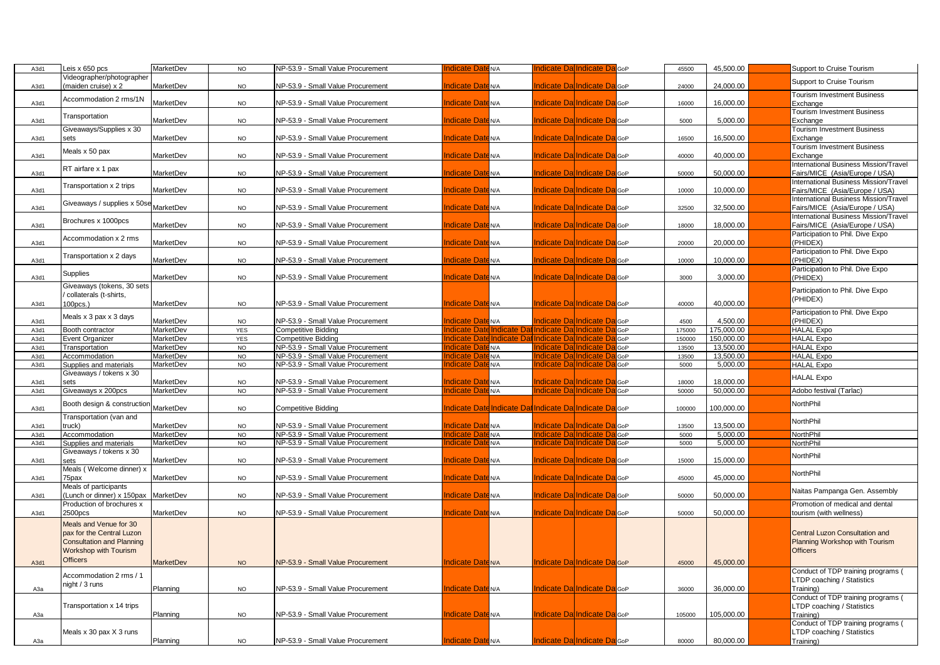| A3d1         | Leis x 650 pcs                   | MarketDev        | <b>NO</b>       | NP-53.9 - Small Value Procurement        | <b>Indicate Date</b> N/A                                           | Indicate Dal Indicate Da                                         | 45500<br><b>G</b> oP  | 45,500.00              | Support to Cruise Tourism                       |
|--------------|----------------------------------|------------------|-----------------|------------------------------------------|--------------------------------------------------------------------|------------------------------------------------------------------|-----------------------|------------------------|-------------------------------------------------|
|              | Videographer/photographer        |                  |                 |                                          |                                                                    |                                                                  |                       |                        | Support to Cruise Tourism                       |
| A3d1         | (maiden cruise) x 2              | MarketDev        | <b>NO</b>       | NP-53.9 - Small Value Procurement        | <b>Indicate Date</b> N/A                                           | <b>Indicate Da Indicate Da</b> GoP                               | 24000                 | 24,000.00              |                                                 |
|              |                                  |                  |                 |                                          |                                                                    |                                                                  |                       |                        | <b>Tourism Investment Business</b>              |
| A3d1         | Accommodation 2 rms/1N           | MarketDev        | <b>NO</b>       | NP-53.9 - Small Value Procurement        | <b>Indicate Date N/A</b>                                           | <b>Indicate Dal Indicate Dal</b> GoP                             | 16000                 | 16,000.00              | Exchange                                        |
|              | Transportation                   |                  |                 |                                          |                                                                    |                                                                  |                       |                        | <b>Tourism Investment Business</b>              |
| A3d1         |                                  | <b>MarketDev</b> | <b>NO</b>       | NP-53.9 - Small Value Procurement        | <b>Indicate Date N/A</b>                                           | <b>Indicate Da Indicate Da</b> GoP                               | 5000                  | 5,000.00               | Exchange                                        |
|              | Giveaways/Supplies x 30          |                  |                 |                                          |                                                                    |                                                                  |                       |                        | <b>Tourism Investment Business</b>              |
| A3d1         | sets                             | MarketDev        | <b>NO</b>       | NP-53.9 - Small Value Procurement        | <b>Indicate Date N/A</b>                                           | Indicate Da Indicate Da GoP                                      | 16500                 | 16,500.00              | Exchange                                        |
|              |                                  |                  |                 |                                          |                                                                    |                                                                  |                       |                        | Tourism Investment Business                     |
| A3d1         | Meals x 50 pax                   | MarketDev        | <b>NO</b>       | NP-53.9 - Small Value Procurement        | <b>Indicate Date N/A</b>                                           | Indicate Da Indicate Da GoP                                      | 40000                 | 40,000.00              | Exchange                                        |
|              | RT airfare x 1 pax               |                  |                 |                                          |                                                                    |                                                                  |                       |                        | International Business Mission/Travel           |
| A3d1         |                                  | MarketDev        | <b>NO</b>       | NP-53.9 - Small Value Procurement        | <b>Indicate Date N/A</b>                                           | <b>Indicate Dal Indicate Dal</b> GoP                             | 50000                 | 50.000.00              | Fairs/MICE (Asia/Europe / USA)                  |
|              | Transportation x 2 trips         |                  |                 |                                          |                                                                    |                                                                  |                       |                        | International Business Mission/Travel           |
| A3d1         |                                  | <b>MarketDev</b> | <b>NO</b>       | NP-53.9 - Small Value Procurement        | ndicate Date N/A                                                   | ndicate Dal Indicate DalGoP                                      | 10000                 | 10,000.00              | Fairs/MICE (Asia/Europe / USA)                  |
|              | Giveaways / supplies x 50se      |                  |                 |                                          |                                                                    |                                                                  |                       |                        | nternational Business Mission/Travel            |
| A3d1         |                                  | MarketDev        | <b>NO</b>       | NP-53.9 - Small Value Procurement        | <b>Indicate Date N/A</b>                                           | <b>Indicate Dal Indicate Dal</b> GoP                             | 32500                 | 32.500.00              | airs/MICE (Asia/Europe / USA)                   |
|              | Brochures x 1000pcs              |                  |                 |                                          |                                                                    |                                                                  |                       |                        | International Business Mission/Travel           |
| A3d1         |                                  | MarketDev        | <b>NO</b>       | NP-53.9 - Small Value Procurement        | <b>Indicate Date N/A</b>                                           | Indicate Da Indicate Da GoP                                      | 18000                 | 18,000.00              | Fairs/MICE (Asia/Europe / USA)                  |
|              | Accommodation x 2 rms            |                  |                 |                                          |                                                                    |                                                                  |                       |                        | Participation to Phil. Dive Expo                |
| A3d1         |                                  | <b>MarketDev</b> | <b>NO</b>       | NP-53.9 - Small Value Procurement        | <b>Indicate Date N/A</b>                                           | <b>Indicate Dal Indicate Dal</b> GoP                             | 20000                 | 20.000.00              | PHIDEX)                                         |
|              | Transportation x 2 days          |                  |                 |                                          |                                                                    |                                                                  |                       |                        | Participation to Phil. Dive Expo                |
| A3d1         |                                  | <b>MarketDev</b> | <b>NO</b>       | NP-53.9 - Small Value Procurement        | <b>Indicate Date</b> N/A                                           | Indicate Da Indicate Da GoP                                      | 10000                 | 10,000.00              | PHIDEX)                                         |
|              | Supplies                         |                  |                 |                                          |                                                                    |                                                                  |                       |                        | Participation to Phil. Dive Expo                |
| A3d1         |                                  | <b>MarketDev</b> | <b>NO</b>       | NP-53.9 - Small Value Procurement        | <b>Indicate Date N/A</b>                                           | <b>Indicate Dal Indicate Dal</b> GoP                             | 3000                  | 3.000.00               | PHIDEX)                                         |
|              | Giveaways (tokens, 30 sets       |                  |                 |                                          |                                                                    |                                                                  |                       |                        | Participation to Phil. Dive Expo                |
|              | collaterals (t-shirts,           |                  |                 |                                          |                                                                    |                                                                  |                       |                        | PHIDEX)                                         |
| A3d1         | 100pcs.)                         | MarketDev        | <b>NO</b>       | NP-53.9 - Small Value Procurement        | <b>Indicate Date N/A</b>                                           | <b>Indicate Da Indicate Da</b> GoP                               | 40000                 | 40,000.00              |                                                 |
|              | Meals x 3 pax x 3 days           |                  |                 |                                          |                                                                    |                                                                  |                       |                        | Participation to Phil. Dive Expo                |
| A3d1         |                                  | <b>MarketDev</b> | <b>NO</b>       | NP-53.9 - Small Value Procurement        | <b>Indicate Date N/A</b><br>ndicate Date Indicate Da               | <b>Indicate Da Indicate Da</b> GoP<br>il Indicate Dal Indicate D | 4500                  | 4,500.00               | PHIDEX)                                         |
| A3d1         | Booth contractor                 | MarketDev        | <b>YES</b>      | Competitive Bidding                      |                                                                    |                                                                  | GoP<br>175000         | 175,000.00             | <b>HALAL Expo</b>                               |
| A3d1         | Event Organizer                  | MarketDev        | YES             | <b>Competitive Bidding</b>               | ndicate Date Indicate Dat Indicate Dal Indicate D<br>Indicate Date |                                                                  | 150000<br>GoP         | 150,000.00             | <b>HALAL Expo</b>                               |
| A3d1         | Transportation                   | MarketDev        | <b>NO</b>       | NP-53.9 - Small Value Procurement        | EN/A<br>ndicate Da                                                 | Indicate DalIndicate D<br>ndicate DalIndicate I                  | 13500<br>GoP          | 13,500.00<br>13,500.00 | <b>HALAL Expo</b>                               |
| A3d1         | Accommodation                    | MarketDev        | $NO$            | NP-53.9 - Small Value Procurement        | N/A<br>ndicate Dat                                                 | ndicate DalIndicate D                                            | 13500<br>GoP          | 5,000.00               | <b>HALAL Expo</b>                               |
| A3d1         | Supplies and materials           | MarketDev        | <b>NO</b>       | NP-53.9 - Small Value Procurement        | N/A                                                                |                                                                  | GoP<br>5000           |                        | <b>HALAL Expo</b>                               |
|              | Giveaways / tokens x 30<br>sets  | MarketDev        |                 | <b>VP-53.9 - Small Value Procurement</b> | <b>Indicate Date N/A</b>                                           | Indicate Dal Indicate Da                                         | <b>I</b> GoP<br>18000 | 18,000.00              | <b>HALAL Expo</b>                               |
| A3d1<br>A3d1 | Giveaways x 200pcs               | MarketDev        | NO<br><b>NO</b> | NP-53.9 - Small Value Procurement        | <b>ndicate Date N/A</b>                                            | Indicate DalIndicate D                                           | GoP<br>50000          | 50.000.00              | Adobo festival (Tarlac)                         |
|              |                                  |                  |                 |                                          |                                                                    |                                                                  |                       |                        |                                                 |
| A3d1         | Booth design & construction      | <b>MarketDev</b> | <b>NO</b>       | Competitive Bidding                      | Indicate Date Indicate Dat Indicate Da Indicate Da GoP             |                                                                  | 100000                | 100,000.00             | NorthPhil                                       |
|              | Transportation (van and          |                  |                 |                                          |                                                                    |                                                                  |                       |                        |                                                 |
| A3d1         | truck)                           | <b>MarketDev</b> | <b>NO</b>       | NP-53.9 - Small Value Procurement        | <b>Indicate Date N/A</b>                                           | Indicate DalIndicate Da                                          | <b>B</b> GoP<br>13500 | 13,500.00              | NorthPhil                                       |
| A3d1         | Accommodation                    | MarketDev        | NO              | NP-53.9 - Small Value Procurement        | Indicate Dat<br>EN/A                                               | Indicate DalIndicate D                                           | 5000<br>GoP           | 5,000.00               | NorthPhil                                       |
| A3d1         | Supplies and materials           | <b>MarketDev</b> | <b>NO</b>       | NP-53.9 - Small Value Procurement        | ndicate Date <sub>N/A</sub>                                        | <b>Indicate DalIndicate D</b>                                    | GoP<br>5000           | 5.000.00               | NorthPhil                                       |
|              | Giveaways / tokens x 30          |                  |                 |                                          |                                                                    |                                                                  |                       |                        |                                                 |
| A3d1         | sets                             | MarketDev        | <b>NO</b>       | NP-53.9 - Small Value Procurement        | <b>Indicate Date N/A</b>                                           | <b>Indicate Dal Indicate Dal GoP</b>                             | 15000                 | 15.000.00              | NorthPhil                                       |
|              | Meals (Welcome dinner) x         |                  |                 |                                          |                                                                    |                                                                  |                       |                        |                                                 |
| A3d1         | 75pax                            | <b>MarketDev</b> | <b>NO</b>       | NP-53.9 - Small Value Procurement        | <b>Indicate Date N/A</b>                                           | <b>Indicate Da Indicate Da</b> GoP                               | 45000                 | 45.000.00              | NorthPhil                                       |
|              | Meals of participants            |                  |                 |                                          |                                                                    |                                                                  |                       |                        |                                                 |
| A3d1         | (Lunch or dinner) x 150pax       | MarketDev        | <b>NO</b>       | NP-53.9 - Small Value Procurement        | <b>Indicate Date N/A</b>                                           | <b>Indicate Dal Indicate Dal</b> GoP                             | 50000                 | 50,000.00              | Naitas Pampanga Gen. Assembly                   |
|              | Production of brochures x        |                  |                 |                                          |                                                                    |                                                                  |                       |                        | Promotion of medical and dental                 |
| A3d1         | 2500pcs                          | MarketDev        | <b>NO</b>       | NP-53.9 - Small Value Procurement        | <b>Indicate Date</b><br>EN/A                                       | <b>Indicate Da Indicate Da</b> GoP                               | 50000                 | 50.000.00              | ourism (with wellness)                          |
|              | Meals and Venue for 30           |                  |                 |                                          |                                                                    |                                                                  |                       |                        |                                                 |
|              | pax for the Central Luzon        |                  |                 |                                          |                                                                    |                                                                  |                       |                        | Central Luzon Consultation and                  |
|              | <b>Consultation and Planning</b> |                  |                 |                                          |                                                                    |                                                                  |                       |                        | <b>Planning Workshop with Tourism</b>           |
|              | Workshop with Tourism            |                  |                 |                                          |                                                                    |                                                                  |                       |                        | <b>Officers</b>                                 |
|              | <b>Officers</b>                  |                  |                 |                                          |                                                                    |                                                                  |                       |                        |                                                 |
| A3d1         |                                  | <b>MarketDev</b> | <b>NO</b>       | NP-53.9 - Small Value Procurement        | <b>Indicate Date N/A</b>                                           | <b>Indicate Da Indicate Da</b> GoP                               | 45000                 | 45,000.00              |                                                 |
|              | Accommodation 2 rms / 1          |                  |                 |                                          |                                                                    |                                                                  |                       |                        | Conduct of TDP training programs (              |
|              | night / 3 runs                   |                  |                 |                                          |                                                                    |                                                                  |                       |                        | TDP coaching / Statistics                       |
| АЗа          |                                  | Planning         | <b>NO</b>       | NP-53.9 - Small Value Procurement        | <b>Indicate Date N/A</b>                                           | Indicate Da Indicate Da GoP                                      | 36000                 | 36,000.00              | [raining]                                       |
|              |                                  |                  |                 |                                          |                                                                    |                                                                  |                       |                        | Conduct of TDP training programs (              |
|              | Transportation x 14 trips        |                  |                 |                                          | <b>Indicate Date N/A</b>                                           | <b>Indicate Dal Indicate DalGoP</b>                              |                       |                        | TDP coaching / Statistics                       |
| АЗа          |                                  | Planning         | <b>NO</b>       | NP-53.9 - Small Value Procurement        |                                                                    |                                                                  | 105000                | 105,000.00             | Training)<br>Conduct of TDP training programs ( |
|              | Meals x 30 pax X 3 runs          |                  |                 |                                          |                                                                    |                                                                  |                       |                        | LTDP coaching / Statistics                      |
| АЗа          |                                  | Planning         | NO              | NP-53.9 - Small Value Procurement        | <b>Indicate Date N/A</b>                                           | Indicate Da Indicate Da GoP                                      | 80000                 | 80.000.00              | Training)                                       |
|              |                                  |                  |                 |                                          |                                                                    |                                                                  |                       |                        |                                                 |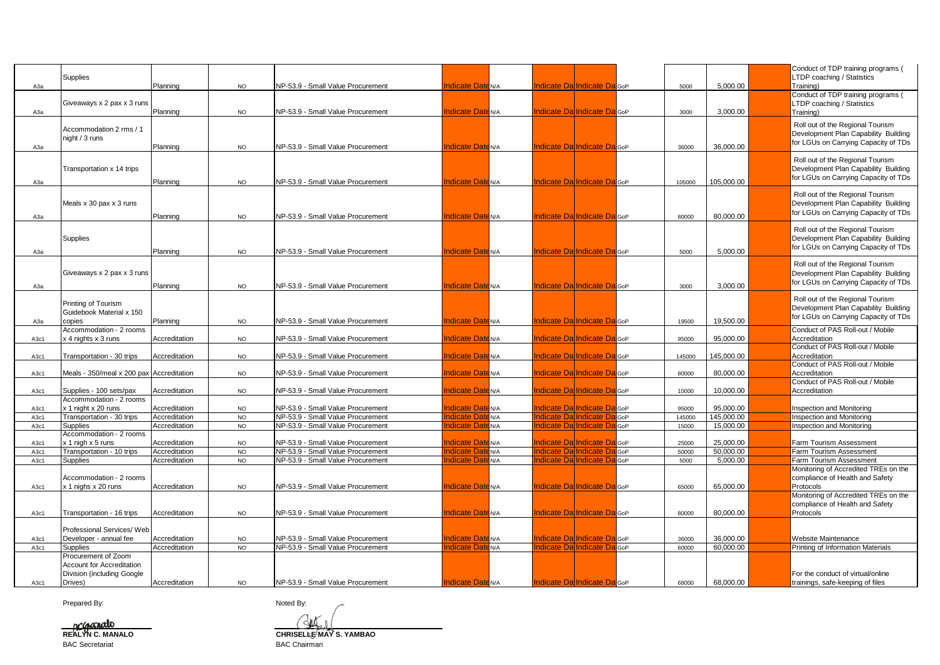| АЗа          | Supplies                                                       | Planning                       | <b>NO</b>              | NP-53.9 - Small Value Procurement                                      | ndicate Date N/A                   |                  | <b>Indicate Da Indicate Da</b> GoP                                              |            | 5000            | 5,000.00                | Conduct of TDP training programs (<br>LTDP coaching / Statistics<br>Training)                                    |
|--------------|----------------------------------------------------------------|--------------------------------|------------------------|------------------------------------------------------------------------|------------------------------------|------------------|---------------------------------------------------------------------------------|------------|-----------------|-------------------------|------------------------------------------------------------------------------------------------------------------|
| АЗа          | Giveaways x 2 pax x 3 runs                                     | Planning                       | <b>NO</b>              | NP-53.9 - Small Value Procurement                                      | ndicate Date N/A                   |                  | <b>Indicate Dal Indicate Dal</b> GoP                                            |            | 3000            | 3.000.00                | Conduct of TDP training programs (<br>LTDP coaching / Statistics<br>Training)                                    |
| АЗа          | Accommodation 2 rms / 1<br>night / 3 runs                      | Planning                       | <b>NO</b>              | NP-53.9 - Small Value Procurement                                      | <b>Indicate Date</b> N/A           |                  | <b>Indicate Dal Indicate DalGoP</b>                                             |            | 36000           | 36,000.00               | Roll out of the Regional Tourism<br>Development Plan Capability Building<br>for LGUs on Carrying Capacity of TDs |
| АЗа          | Transportation x 14 trips                                      | Planning                       | <b>NO</b>              | NP-53.9 - Small Value Procurement                                      | ndicate Date N/A                   |                  | <b>Indicate Da Indicate Da</b> GoP                                              |            | 105000          | 105,000.00              | Roll out of the Regional Tourism<br>Development Plan Capability Building<br>for LGUs on Carrying Capacity of TDs |
| АЗа          | Meals x 30 pax x 3 runs                                        | Planning                       | <b>NO</b>              | NP-53.9 - Small Value Procurement                                      | ndicate Date N/A                   |                  | <b>Indicate Dal Indicate Dal</b> GoP                                            |            | 80000           | 80,000.00               | Roll out of the Regional Tourism<br>Development Plan Capability Building<br>for LGUs on Carrying Capacity of TDs |
| АЗа          | Supplies                                                       | Planning                       | <b>NO</b>              | NP-53.9 - Small Value Procurement                                      | ndicate Date N/A                   |                  | Indicate DalIndicate Dal <sub>GoP</sub>                                         |            | 5000            | 5,000.00                | Roll out of the Regional Tourism<br>Development Plan Capability Building<br>for LGUs on Carrying Capacity of TDs |
|              | Giveaways x 2 pax x 3 runs                                     |                                |                        |                                                                        |                                    |                  | <b>Indicate Da Indicate Da</b> GoP                                              |            |                 |                         | Roll out of the Regional Tourism<br>Development Plan Capability Building<br>for LGUs on Carrying Capacity of TDs |
| АЗа          | Printing of Tourism<br>Guidebook Material x 150                | Planning                       | <b>NO</b>              | NP-53.9 - Small Value Procurement                                      | ndicate Date N/A                   |                  |                                                                                 |            | 3000            | 3,000.00                | Roll out of the Regional Tourism<br>Development Plan Capability Building<br>for LGUs on Carrying Capacity of TDs |
| АЗа<br>A3c1  | copies<br>Accommodation - 2 rooms<br>x 4 nights x 3 runs       | Planning<br>Accreditation      | <b>NO</b><br><b>NO</b> | NP-53.9 - Small Value Procurement<br>NP-53.9 - Small Value Procurement | ndicate Date N/A<br>ndicate DateNA |                  | <b>Indicate Dal Indicate Dal GoP</b><br>Indicate DalIndicate Dal <sub>GoP</sub> |            | 19500<br>95000  | 19.500.00<br>95,000.00  | Conduct of PAS Roll-out / Mobile<br>Accreditation                                                                |
| A3c1         | Transportation - 30 trips                                      | Accreditation                  | <b>NO</b>              | NP-53.9 - Small Value Procurement                                      | ndicate Date N/A                   |                  | <b>Indicate Da Indicate Da</b> GoP                                              |            | 145000          | 145,000.00              | Conduct of PAS Roll-out / Mobile<br>Accreditation                                                                |
| A3c1         | Meals - 350/meal x 200 pax Accreditation                       |                                | <b>NO</b>              | NP-53.9 - Small Value Procurement                                      | ndicate Date N/A                   |                  | Indicate Dal Indicate Da GoP                                                    |            | 80000           | 80,000.00               | Conduct of PAS Roll-out / Mobile<br>Accreditation<br>Conduct of PAS Roll-out / Mobile                            |
| A3c1         | Supplies - 100 sets/pax<br>Accommodation - 2 rooms             | Accreditation                  | <b>NO</b>              | NP-53.9 - Small Value Procurement                                      | ndicate Date <sub>N/A</sub>        |                  | <b>Indicate Dal Indicate DalGoP</b>                                             |            | 10000           | 10,000.00               | Accreditation                                                                                                    |
| A3c1         | x 1 night x 20 runs                                            | Accreditation                  | <b>NO</b>              | NP-53.9 - Small Value Procurement                                      | ndicate Date N/A                   |                  | Indicate Da Indicate Da GoP<br>ndicate DalIndicate Da                           |            | 95000           | 95,000.00               | Inspection and Monitoring                                                                                        |
| A3c1<br>A3c1 | Transportation - 30 trips<br>Supplies                          | Accreditation<br>Accreditation | <b>NO</b><br><b>NO</b> | NP-53.9 - Small Value Procurement<br>NP-53.9 - Small Value Procurement | ndicate Date N/A<br>ndicate Dat    | E <sub>N/A</sub> | ndicate Da Indicate Da                                                          | GoP<br>GoP | 145000<br>15000 | 145,000.00<br>15,000.00 | nspection and Monitoring<br>nspection and Monitoring                                                             |
|              | Accommodation - 2 rooms                                        |                                |                        |                                                                        |                                    |                  |                                                                                 |            |                 |                         |                                                                                                                  |
| A3c1         | $x 1$ nigh $x 5$ runs                                          | Accreditation                  | <b>NO</b>              | NP-53.9 - Small Value Procurement                                      | ndicate DateN/A                    |                  | ndicate Da Indicate Da GoP                                                      |            | 25000           | 25.000.00               | Farm Tourism Assessment                                                                                          |
| A3c1         | Transportation - 10 trips                                      | Accreditation                  | <b>NO</b>              | NP-53.9 - Small Value Procurement                                      | ndicate DateN/A                    |                  | ndicate DalIndicate Da                                                          | GoP        | 50000           | 50.000.00               | Farm Tourism Assessment                                                                                          |
| A3c1         | Supplies                                                       | Accreditation                  | <b>NO</b>              | NP-53.9 - Small Value Procurement                                      | ndicate Date <sub>N/A</sub>        |                  | Indicate DalIndicate Da                                                         | GoP        | 5000            | 5,000.00                | Farm Tourism Assessment                                                                                          |
| A3c1         | Accommodation - 2 rooms<br>x 1 nighs x 20 runs                 | Accreditation                  | <b>NO</b>              | NP-53.9 - Small Value Procurement                                      | ndicate Date <sub>N/A</sub>        |                  | <b>Indicate Dal Indicate DalGoP</b>                                             |            | 65000           | 65.000.00               | Monitoring of Accredited TREs on the<br>compliance of Health and Safety<br>Protocols                             |
|              |                                                                |                                |                        |                                                                        |                                    |                  |                                                                                 |            |                 |                         | Monitoring of Accredited TREs on the<br>compliance of Health and Safety                                          |
| A3c1         | Transportation - 16 trips                                      | Accreditation                  | <b>NO</b>              | NP-53.9 - Small Value Procurement                                      | ndicate Date N/A                   |                  | Indicate Da Indicate Da GoP                                                     |            | 80000           | 80,000.00               | Protocols                                                                                                        |
|              | Professional Services/ Web                                     |                                |                        |                                                                        |                                    |                  |                                                                                 |            |                 |                         |                                                                                                                  |
| A3c1         | Developer - annual fee                                         | Accreditation                  | <b>NO</b>              | VP-53.9 - Small Value Procurement                                      | ndicate Date N/A                   |                  | ndicate Da Indicate Da GoP                                                      |            | 36000           | 36,000.00               | <b>Nebsite Maintenance</b>                                                                                       |
| A3c1         | Supplies<br>Procurement of Zoom                                | Accreditation                  | <b>NO</b>              | NP-53.9 - Small Value Procurement                                      | ndicate Date <sub>N/A</sub>        |                  | ndicate Da Indicate Da                                                          | GoP        | 60000           | 60,000.00               | Printing of Information Materials                                                                                |
|              | <b>Account for Accreditation</b><br>Division (including Google |                                |                        |                                                                        |                                    |                  |                                                                                 |            |                 |                         | For the conduct of virtual/online                                                                                |
| A3c1         | Drives)                                                        | Accreditation                  | <b>NO</b>              | NP-53.9 - Small Value Procurement                                      | <b>Indicate Date N/A</b>           |                  | <b>Indicate Dal Indicate DalGoP</b>                                             |            | 68000           | 68,000.00               | trainings, safe-keeping of files                                                                                 |

Prepared By: Noted By:

**COLORING CONSTRUCT CHARGE CHARGE CHARGE CHARGE CHARGE CHARGE CHARGE CHARGE CHARGE CHARGE CHARGE CHARGE CHARGE CH**<br> **CHRISELLE MAY S. YAMBAO** 

JW BAC Secretariat **BAC** Chairman